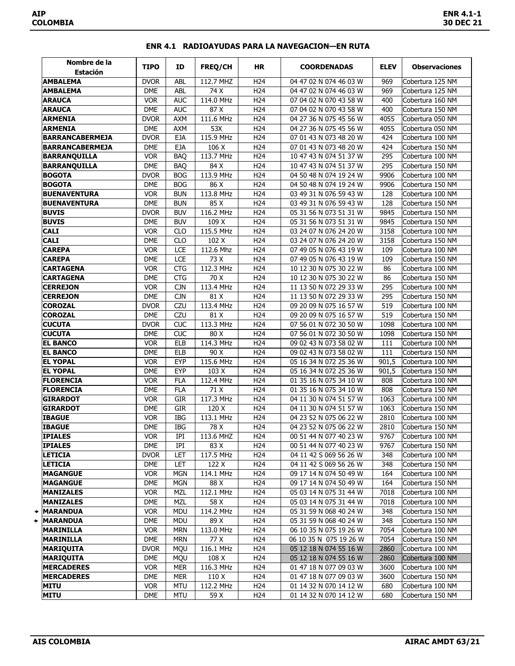| Nombre de la<br><b>Estación</b> | <b>TIPO</b>              | ID                       | FREQ/CH           | <b>HR</b>              | <b>COORDENADAS</b>                               | <b>ELEV</b>  | <b>Observaciones</b>                 |
|---------------------------------|--------------------------|--------------------------|-------------------|------------------------|--------------------------------------------------|--------------|--------------------------------------|
| <b>AMBALEMA</b>                 | <b>DVOR</b>              | <b>ABL</b>               | 112.7 MHZ         | H <sub>24</sub>        | 04 47 02 N 074 46 03 W                           | 969          | Cobertura 125 NM                     |
| <b>AMBALEMA</b>                 | <b>DME</b>               | ABL                      | 74X               | H <sub>24</sub>        | 04 47 02 N 074 46 03 W                           | 969          | Cobertura 125 NM                     |
| <b>ARAUCA</b>                   | <b>VOR</b>               | <b>AUC</b>               | 114.0 MHz         | H <sub>24</sub>        | 07 04 02 N 070 43 58 W                           | 400          | Cobertura 160 NM                     |
| <b>ARAUCA</b>                   | <b>DME</b>               | <b>AUC</b>               | 87 X              | H <sub>24</sub>        | 07 04 02 N 070 43 58 W                           | 400          | Cobertura 150 NM                     |
| <b>ARMENIA</b>                  | <b>DVOR</b>              | <b>AXM</b>               | 111.6 MHz         | H <sub>24</sub>        | 04 27 36 N 075 45 56 W                           | 4055         | Cobertura 050 NM                     |
| <b>ARMENIA</b>                  | <b>DME</b>               | <b>AXM</b>               | 53X               | H <sub>24</sub>        | 04 27 36 N 075 45 56 W                           | 4055         | Cobertura 050 NM                     |
| <b>BARRANCABERMEJA</b>          | <b>DVOR</b>              | <b>EJA</b>               | 115.9 MHz         | H <sub>24</sub>        | 07 01 43 N 073 48 20 W                           | 424          | Cobertura 100 NM                     |
| <b>BARRANCABERMEJA</b>          | <b>DME</b>               | <b>EJA</b>               | 106 X             | H <sub>24</sub>        | 07 01 43 N 073 48 20 W                           | 424          | Cobertura 150 NM                     |
| <b>BARRANQUILLA</b>             | <b>VOR</b>               | <b>BAO</b>               | 113.7 MHz         | H <sub>24</sub>        | 10 47 43 N 074 51 37 W                           | 295          | Cobertura 100 NM                     |
| <b>BARRANQUILLA</b>             | <b>DME</b>               | <b>BAO</b>               | 84X               | H <sub>24</sub>        | 10 47 43 N 074 51 37 W                           | 295          | Cobertura 150 NM                     |
| <b>BOGOTA</b>                   | <b>DVOR</b>              | <b>BOG</b>               | 113.9 MHz         | H <sub>24</sub>        | 04 50 48 N 074 19 24 W                           | 9906         | Cobertura 100 NM                     |
| <b>BOGOTA</b>                   | <b>DME</b>               | <b>BOG</b>               | 86 X              | H <sub>24</sub>        | 04 50 48 N 074 19 24 W                           | 9906         | Cobertura 150 NM                     |
| <b>BUENAVENTURA</b>             | <b>VOR</b>               | <b>BUN</b>               | 113.8 MHz         | H <sub>24</sub>        | 03 49 31 N 076 59 43 W                           | 128          | Cobertura 100 NM                     |
| <b>BUENAVENTURA</b>             | <b>DME</b>               | <b>BUN</b>               | 85 X              | H <sub>24</sub>        | 03 49 31 N 076 59 43 W                           | 128          | Cobertura 150 NM                     |
| <b>BUVIS</b>                    | <b>DVOR</b>              | <b>BUV</b>               | 116.2 MHz         | H <sub>24</sub>        | 05 31 56 N 073 51 31 W                           | 9845         | Cobertura 150 NM                     |
| <b>BUVIS</b>                    | <b>DME</b>               | <b>BUV</b>               | 109 X             | H <sub>24</sub>        | 05 31 56 N 073 51 31 W                           | 9845         | Cobertura 150 NM                     |
| <b>CALI</b>                     | <b>VOR</b>               | <b>CLO</b>               | 115.5 MHz         | H <sub>24</sub>        | 03 24 07 N 076 24 20 W                           | 3158         | Cobertura 100 NM                     |
| <b>CALI</b>                     | DME                      | <b>CLO</b>               | 102 X             | H <sub>24</sub>        | 03 24 07 N 076 24 20 W                           | 3158         | Cobertura 150 NM                     |
| <b>CAREPA</b>                   | <b>VOR</b>               | LCE                      | 112.6 Mhz         | H <sub>24</sub>        | 07 49 05 N 076 43 19 W                           | 109          | Cobertura 100 NM                     |
| <b>CAREPA</b>                   | <b>DME</b>               | LCE                      | 73 X              | H <sub>24</sub>        | 07 49 05 N 076 43 19 W                           | 109          | Cobertura 150 NM                     |
| <b>CARTAGENA</b>                | VOR                      | <b>CTG</b>               | 112.3 MHz         | H <sub>24</sub>        | 10 12 30 N 075 30 22 W                           | 86           | Cobertura 100 NM                     |
| <b>CARTAGENA</b>                | <b>DME</b>               | <b>CTG</b>               | $\overline{70}$ X | H <sub>24</sub>        | 10 12 30 N 075 30 22 W                           | 86           | Cobertura 150 NM                     |
| <b>CERREJON</b>                 | <b>VOR</b>               | <b>CJN</b>               | 113.4 MHz         | H <sub>24</sub>        | 11 13 50 N 072 29 33 W                           | 295          | Cobertura 100 NM                     |
| <b>CERREJON</b>                 | DME                      | <b>CJN</b>               | 81 X              | H <sub>24</sub>        | 11 13 50 N 072 29 33 W                           | 295          | Cobertura 150 NM                     |
| <b>COROZAL</b>                  | <b>DVOR</b>              | CZU                      | 113.4 MHz         | H <sub>24</sub>        | 09 20 09 N 075 16 57 W                           | 519          | Cobertura 100 NM                     |
| <b>COROZAL</b>                  | <b>DME</b>               | <b>CZU</b>               | 81 X              | H <sub>24</sub>        | 09 20 09 N 075 16 57 W                           | 519          | Cobertura 150 NM                     |
| <b>CUCUTA</b>                   | <b>DVOR</b>              | <b>CUC</b>               | 113.3 MHz         | H <sub>24</sub>        | 07 56 01 N 072 30 50 W                           | 1098         | Cobertura 100 NM                     |
| <b>CUCUTA</b>                   | <b>DME</b>               | $\overline{\text{CUC}}$  | 80X               | H <sub>24</sub>        | 07 56 01 N 072 30 50 W                           | 1098         | Cobertura 150 NM                     |
| <b>EL BANCO</b>                 | <b>VOR</b>               | <b>ELB</b>               | 114.3 MHz         | H <sub>24</sub>        | 09 02 43 N 073 58 02 W                           | 111          | Cobertura 100 NM                     |
| <b>EL BANCO</b>                 | <b>DME</b>               | <b>ELB</b>               | 90 X              | H <sub>24</sub>        | 09 02 43 N 073 58 02 W                           | 111          | Cobertura 150 NM                     |
| <b>EL YOPAL</b>                 | VOR                      | <b>EYP</b>               | 115.6 MHz         | H <sub>24</sub>        | 05 16 34 N 072 25 36 W                           | 901,5        | Cobertura 100 NM                     |
| <b>EL YOPAL</b>                 | <b>DME</b>               | <b>EYP</b>               | 103 X             | H <sub>24</sub>        | 05 16 34 N 072 25 36 W                           | 901,5        | Cobertura 150 NM                     |
| <b>FLORENCIA</b>                | <b>VOR</b>               | <b>FLA</b>               | 112.4 MHz         | H <sub>24</sub>        | 01 35 16 N 075 34 10 W                           | 808          | Cobertura 100 NM                     |
| <b>FLORENCIA</b>                | <b>DME</b>               | <b>FLA</b>               | 71 X              | H <sub>24</sub>        | 01 35 16 N 075 34 10 W                           | 808          | Cobertura 150 NM                     |
| <b>GIRARDOT</b>                 | <b>VOR</b>               | <b>GIR</b>               | 117.3 MHz         | H <sub>24</sub>        | 04 11 30 N 074 51 57 W                           | 1063         | Cobertura 100 NM                     |
| <b>GIRARDOT</b>                 | <b>DME</b>               | <b>GIR</b>               | 120 X             | H <sub>24</sub>        | 04 11 30 N 074 51 57 W                           | 1063         | Cobertura 150 NM                     |
| <b>IBAGUE</b>                   | <b>VOR</b>               | <b>IBG</b>               | $113.1$ MHz       | H <sub>24</sub>        | 04 23 52 N 075 06 22 W                           | 2810         | Cobertura 100 NM                     |
| <b>IBAGUE</b>                   | <b>DME</b>               | IBG                      | 78 X              | H <sub>24</sub>        | 04 23 52 N 075 06 22 W                           | 2810         | Cobertura 150 NM                     |
| <b>IPIALES</b>                  | VOR.                     | IPI                      | 113.6 MHZ         | H24                    | 00 51 44 N 077 40 23 W                           | 9767         | Cobertura 100 NM                     |
| <b>IPIALES</b>                  | DME                      | IPI                      | 83 X              | H <sub>24</sub>        | 00 51 44 N 077 40 23 W                           | 9767         | Cobertura 150 NM                     |
| <b>LETICIA</b>                  | <b>DVOR</b>              | LET                      | 117.5 MHz         | H <sub>24</sub>        | 04 11 42 S 069 56 26 W                           | 348          | Cobertura 100 NM                     |
| <b>LETICIA</b>                  | <b>DME</b>               | LET                      | 122 X             | H <sub>24</sub>        | 04 11 42 S 069 56 26 W                           | 348          | Cobertura 150 NM                     |
| <b>MAGANGUE</b>                 | <b>VOR</b>               | <b>MGN</b>               | 114.1 MHz         | H <sub>24</sub>        | 09 17 14 N 074 50 49 W                           | 164          | Cobertura 100 NM                     |
| <b>MAGANGUE</b>                 | DME                      | <b>MGN</b>               | 88 X              | H <sub>24</sub>        | 09 17 14 N 074 50 49 W                           | 164          | Cobertura 150 NM                     |
| <b>MANIZALES</b>                | <b>VOR</b>               | MZL                      | 112.1 MHz         | H <sub>24</sub>        | 05 03 14 N 075 31 44 W                           | 7018         | Cobertura 100 NM                     |
| <b>MANIZALES</b>                | DME                      | <b>MZL</b>               | 58 X              | H <sub>24</sub>        | 05 03 14 N 075 31 44 W                           | 7018         | Cobertura 100 NM                     |
| MARANDUA                        | <b>VOR</b>               | <b>MDU</b>               | 114.2 MHz         | H <sub>24</sub>        | 05 31 59 N 068 40 24 W                           | 348          | Cobertura 150 NM                     |
| MARANDUA                        | <b>DME</b>               | <b>MDU</b>               | 89 X              | H <sub>24</sub>        | 05 31 59 N 068 40 24 W                           | 348          | Cobertura 150 NM<br>Cobertura 100 NM |
| MARINILLA<br><b>MARINILLA</b>   | <b>VOR</b><br><b>DME</b> | <b>MRN</b><br><b>MRN</b> | 113.0 MHz<br>77 X | H24<br>H <sub>24</sub> | 06 10 35 N 075 19 26 W<br>06 10 35 N 075 19 26 W | 7054<br>7054 | Cobertura 150 NM                     |
| <b>MARIQUITA</b>                | <b>DVOR</b>              | <b>MQU</b>               | 116.1 MHz         | H <sub>24</sub>        | 05 12 18 N 074 55 16 W                           | 2860         | Cobertura 100 NM                     |
| <b>MARIQUITA</b>                | <b>DME</b>               | <b>MQU</b>               | 108 X             | H <sub>24</sub>        | 05 12 18 N 074 55 16 W                           | 2860         | Cobertura 100 NM                     |
| <b>MERCADERES</b>               | <b>VOR</b>               | <b>MER</b>               | 116.3 MHz         | H <sub>24</sub>        | 01 47 18 N 077 09 03 W                           | 3600         | Cobertura 100 NM                     |
| <b>MERCADERES</b>               | DME                      | MER                      | 110 X             | H <sub>24</sub>        | 01 47 18 N 077 09 03 W                           | 3600         | Cobertura 150 NM                     |
| MITU                            | <b>VOR</b>               | <b>MTU</b>               | 112.2 MHz         | H <sub>24</sub>        | 01 14 32 N 070 14 12 W                           | 680          | Cobertura 100 NM                     |
| <b>MITU</b>                     | <b>DME</b>               | <b>MTU</b>               | 59 X              | H <sub>24</sub>        | 01 14 32 N 070 14 12 W                           | 680          | Cobertura 150 NM                     |
|                                 |                          |                          |                   |                        |                                                  |              |                                      |

## **ENR 4.1 RADIOAYUDAS PARA LA NAVEGACION—EN RUTA**

◆ ◆